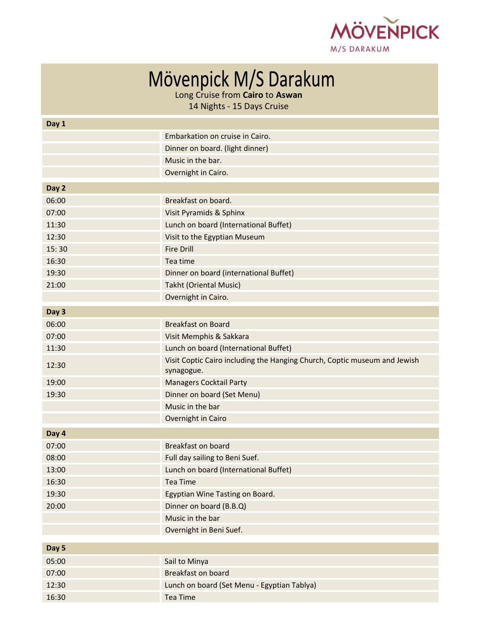

| Mövenpick M/S Darakum |
|-----------------------|
|-----------------------|

Long Cruise from **Cairo** to **Aswan**

14 Nights - 15 Days Cruise

| Day 1 |                                                                           |
|-------|---------------------------------------------------------------------------|
|       | Embarkation on cruise in Cairo.                                           |
|       | Dinner on board. (light dinner)                                           |
|       | Music in the bar.                                                         |
|       | Overnight in Cairo.                                                       |
| Day 2 |                                                                           |
| 06:00 | Breakfast on board.                                                       |
| 07:00 | Visit Pyramids & Sphinx                                                   |
| 11:30 | Lunch on board (International Buffet)                                     |
| 12:30 | Visit to the Egyptian Museum                                              |
| 15:30 | <b>Fire Drill</b>                                                         |
| 16:30 | Tea time                                                                  |
| 19:30 | Dinner on board (international Buffet)                                    |
| 21:00 | <b>Takht (Oriental Music)</b>                                             |
|       | Overnight in Cairo.                                                       |
| Day 3 |                                                                           |
| 06:00 | <b>Breakfast on Board</b>                                                 |
| 07:00 | Visit Memphis & Sakkara                                                   |
| 11:30 | Lunch on board (International Buffet)                                     |
|       | Visit Coptic Cairo including the Hanging Church, Coptic museum and Jewish |
| 12:30 | synagogue.                                                                |
| 19:00 | <b>Managers Cocktail Party</b>                                            |
| 19:30 | Dinner on board (Set Menu)                                                |
|       | Music in the bar                                                          |
|       | Overnight in Cairo                                                        |
| Day 4 |                                                                           |
| 07:00 | <b>Breakfast on board</b>                                                 |
| 08:00 | Full day sailing to Beni Suef.                                            |
| 13:00 | Lunch on board (International Buffet)                                     |
| 16:30 | <b>Tea Time</b>                                                           |
| 19:30 | Egyptian Wine Tasting on Board.                                           |
| 20:00 | Dinner on board (B.B.Q)                                                   |
|       | Music in the bar                                                          |
|       | Overnight in Beni Suef.                                                   |
| Day 5 |                                                                           |
| 05:00 | Sail to Minya                                                             |
| 07:00 | <b>Breakfast on board</b>                                                 |
| 12:30 | Lunch on board (Set Menu - Egyptian Tablya)                               |
| 16:30 | <b>Tea Time</b>                                                           |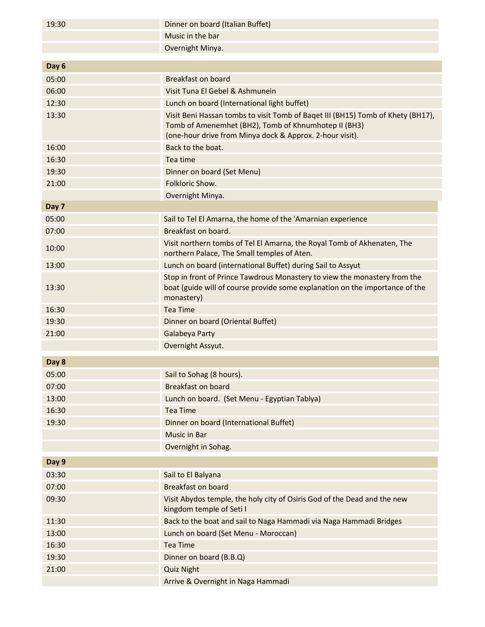| 19:30          | Dinner on board (Italian Buffet)                                                                                                                                                                    |
|----------------|-----------------------------------------------------------------------------------------------------------------------------------------------------------------------------------------------------|
|                | Music in the bar                                                                                                                                                                                    |
|                | Overnight Minya.                                                                                                                                                                                    |
|                |                                                                                                                                                                                                     |
| Day 6          |                                                                                                                                                                                                     |
| 05:00          | <b>Breakfast on board</b>                                                                                                                                                                           |
| 06:00          | Visit Tuna El Gebel & Ashmunein                                                                                                                                                                     |
| 12:30          | Lunch on board (International light buffet)                                                                                                                                                         |
| 13:30          | Visit Beni Hassan tombs to visit Tomb of Baget III (BH15) Tomb of Khety (BH17),<br>Tomb of Amenemhet (BH2), Tomb of Khnumhotep II (BH3)<br>(one-hour drive from Minya dock & Approx. 2-hour visit). |
| 16:00          | Back to the boat.                                                                                                                                                                                   |
| 16:30          | Tea time                                                                                                                                                                                            |
| 19:30          | Dinner on board (Set Menu)                                                                                                                                                                          |
| 21:00          | Folkloric Show.                                                                                                                                                                                     |
|                | Overnight Minya.                                                                                                                                                                                    |
| Day 7          |                                                                                                                                                                                                     |
| 05:00          | Sail to Tel El Amarna, the home of the 'Amarnian experience                                                                                                                                         |
| 07:00          | Breakfast on board.                                                                                                                                                                                 |
| 10:00          | Visit northern tombs of Tel El Amarna, the Royal Tomb of Akhenaten, The<br>northern Palace, The Small temples of Aten.                                                                              |
| 13:00          | Lunch on board (international Buffet) during Sail to Assyut                                                                                                                                         |
| 13:30          | Stop in front of Prince Tawdrous Monastery to view the monastery from the<br>boat (guide will of course provide some explanation on the importance of the<br>monastery)                             |
| 16:30          | Tea Time                                                                                                                                                                                            |
| 19:30          | Dinner on board (Oriental Buffet)                                                                                                                                                                   |
| 21:00          | Galabeya Party                                                                                                                                                                                      |
|                | Overnight Assyut.                                                                                                                                                                                   |
| Day 8          |                                                                                                                                                                                                     |
| 05:00          | Sail to Sohag (8 hours).                                                                                                                                                                            |
| 07:00          | <b>Breakfast on board</b>                                                                                                                                                                           |
| 13:00          | Lunch on board. (Set Menu - Egyptian Tablya)                                                                                                                                                        |
| 16:30          | <b>Tea Time</b>                                                                                                                                                                                     |
| 19:30          | Dinner on board (International Buffet)                                                                                                                                                              |
|                | Music in Bar                                                                                                                                                                                        |
|                | Overnight in Sohag.                                                                                                                                                                                 |
| Day 9          |                                                                                                                                                                                                     |
| 03:30          |                                                                                                                                                                                                     |
|                | Sail to El Balyana<br><b>Breakfast on board</b>                                                                                                                                                     |
| 07:00<br>09:30 |                                                                                                                                                                                                     |
|                | Visit Abydos temple, the holy city of Osiris God of the Dead and the new<br>kingdom temple of Seti I                                                                                                |
| 11:30          | Back to the boat and sail to Naga Hammadi via Naga Hammadi Bridges                                                                                                                                  |
| 13:00          | Lunch on board (Set Menu - Moroccan)                                                                                                                                                                |
| 16:30          | <b>Tea Time</b>                                                                                                                                                                                     |
| 19:30          | Dinner on board (B.B.Q)                                                                                                                                                                             |
| 21:00          | <b>Quiz Night</b>                                                                                                                                                                                   |
|                | Arrive & Overnight in Naga Hammadi                                                                                                                                                                  |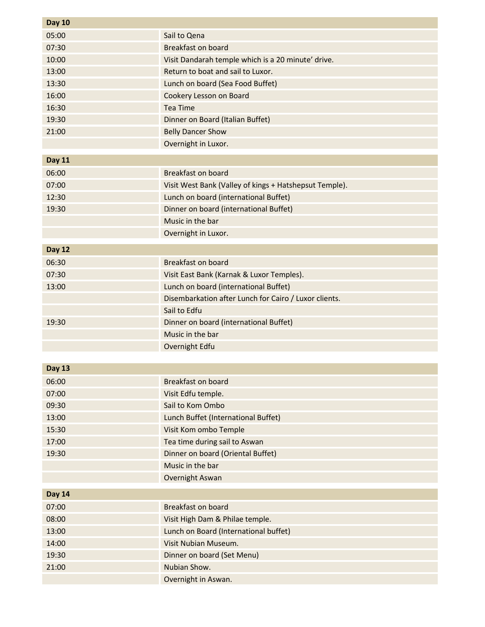| <b>Day 10</b> |                                                        |
|---------------|--------------------------------------------------------|
| 05:00         | Sail to Qena                                           |
| 07:30         | <b>Breakfast on board</b>                              |
| 10:00         | Visit Dandarah temple which is a 20 minute' drive.     |
| 13:00         | Return to boat and sail to Luxor.                      |
| 13:30         | Lunch on board (Sea Food Buffet)                       |
| 16:00         | Cookery Lesson on Board                                |
| 16:30         | <b>Tea Time</b>                                        |
| 19:30         | Dinner on Board (Italian Buffet)                       |
| 21:00         | <b>Belly Dancer Show</b>                               |
|               | Overnight in Luxor.                                    |
| <b>Day 11</b> |                                                        |
| 06:00         | <b>Breakfast on board</b>                              |
| 07:00         | Visit West Bank (Valley of kings + Hatshepsut Temple). |
| 12:30         | Lunch on board (international Buffet)                  |
| 19:30         | Dinner on board (international Buffet)                 |
|               | Music in the bar                                       |
|               | Overnight in Luxor.                                    |
| <b>Day 12</b> |                                                        |
| 06:30         | <b>Breakfast on board</b>                              |
| 07:30         | Visit East Bank (Karnak & Luxor Temples).              |
| 13:00         | Lunch on board (international Buffet)                  |
|               | Disembarkation after Lunch for Cairo / Luxor clients.  |
|               | Sail to Edfu                                           |
| 19:30         | Dinner on board (international Buffet)                 |
|               | Music in the bar                                       |
|               | Overnight Edfu                                         |
|               |                                                        |
| <b>Day 13</b> |                                                        |
| 06:00         | <b>Breakfast on board</b>                              |
| 07:00         | Visit Edfu temple.                                     |
| 09:30         | Sail to Kom Ombo                                       |
| 13:00         | Lunch Buffet (International Buffet)                    |
| 15:30         | Visit Kom ombo Temple                                  |
| 17:00         | Tea time during sail to Aswan                          |
| 19:30         | Dinner on board (Oriental Buffet)                      |
|               | Music in the bar                                       |
|               | Overnight Aswan                                        |
| <b>Day 14</b> |                                                        |
| 07:00         | <b>Breakfast on board</b>                              |
| 08:00         | Visit High Dam & Philae temple.                        |
| 13:00         | Lunch on Board (International buffet)                  |
| 14:00         | Visit Nubian Museum.                                   |
| 19:30         | Dinner on board (Set Menu)                             |
| 21:00         | Nubian Show.                                           |
|               | Overnight in Aswan.                                    |